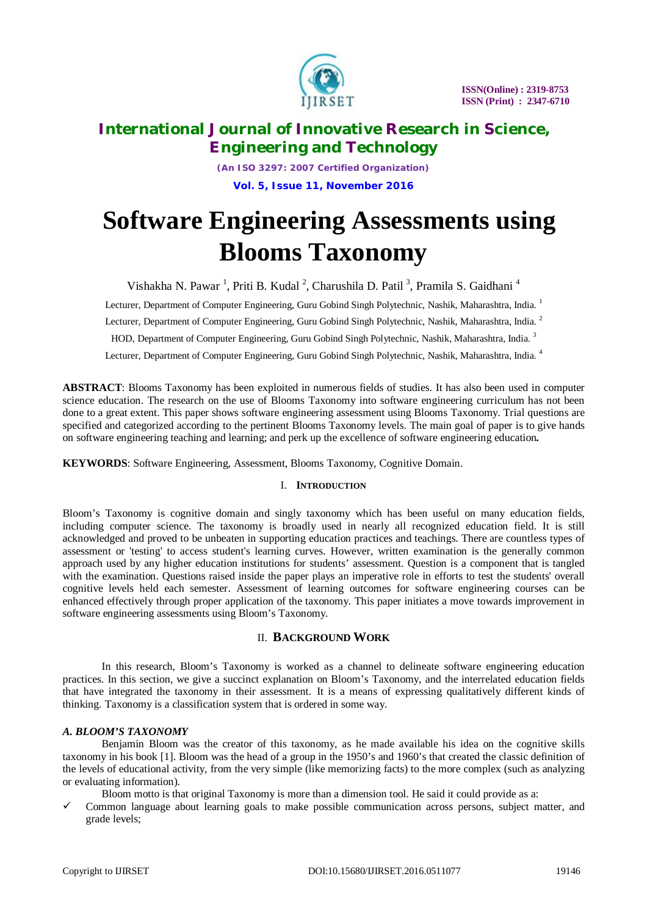

*(An ISO 3297: 2007 Certified Organization)* **Vol. 5, Issue 11, November 2016**

# **Software Engineering Assessments using Blooms Taxonomy**

Vishakha N. Pawar<sup>1</sup>, Priti B. Kudal<sup>2</sup>, Charushila D. Patil<sup>3</sup>, Pramila S. Gaidhani<sup>4</sup>

Lecturer, Department of Computer Engineering, Guru Gobind Singh Polytechnic, Nashik, Maharashtra, India.<sup>1</sup>

Lecturer, Department of Computer Engineering, Guru Gobind Singh Polytechnic, Nashik, Maharashtra, India.<sup>2</sup>

HOD, Department of Computer Engineering, Guru Gobind Singh Polytechnic, Nashik, Maharashtra, India.<sup>3</sup>

Lecturer, Department of Computer Engineering, Guru Gobind Singh Polytechnic, Nashik, Maharashtra, India. <sup>4</sup>

**ABSTRACT**: Blooms Taxonomy has been exploited in numerous fields of studies. It has also been used in computer science education. The research on the use of Blooms Taxonomy into software engineering curriculum has not been done to a great extent. This paper shows software engineering assessment using Blooms Taxonomy. Trial questions are specified and categorized according to the pertinent Blooms Taxonomy levels. The main goal of paper is to give hands on software engineering teaching and learning; and perk up the excellence of software engineering education*.*

**KEYWORDS**: Software Engineering, Assessment, Blooms Taxonomy, Cognitive Domain.

# I. **INTRODUCTION**

Bloom's Taxonomy is cognitive domain and singly taxonomy which has been useful on many education fields, including computer science. The taxonomy is broadly used in nearly all recognized education field. It is still acknowledged and proved to be unbeaten in supporting education practices and teachings. There are countless types of assessment or 'testing' to access student's learning curves. However, written examination is the generally common approach used by any higher education institutions for students' assessment. Question is a component that is tangled with the examination. Questions raised inside the paper plays an imperative role in efforts to test the students' overall cognitive levels held each semester. Assessment of learning outcomes for software engineering courses can be enhanced effectively through proper application of the taxonomy. This paper initiates a move towards improvement in software engineering assessments using Bloom's Taxonomy.

# II. **BACKGROUND WORK**

In this research, Bloom's Taxonomy is worked as a channel to delineate software engineering education practices. In this section, we give a succinct explanation on Bloom's Taxonomy, and the interrelated education fields that have integrated the taxonomy in their assessment. It is a means of expressing qualitatively different kinds of thinking. Taxonomy is a classification system that is ordered in some way.

#### *A. BLOOM'S TAXONOMY*

Benjamin Bloom was the creator of this taxonomy, as he made available his idea on the cognitive skills taxonomy in his book [1]. Bloom was the head of a group in the 1950's and 1960's that created the classic definition of the levels of educational activity, from the very simple (like memorizing facts) to the more complex (such as analyzing or evaluating information).

Bloom motto is that original Taxonomy is more than a dimension tool. He said it could provide as a:

 Common language about learning goals to make possible communication across persons, subject matter, and grade levels;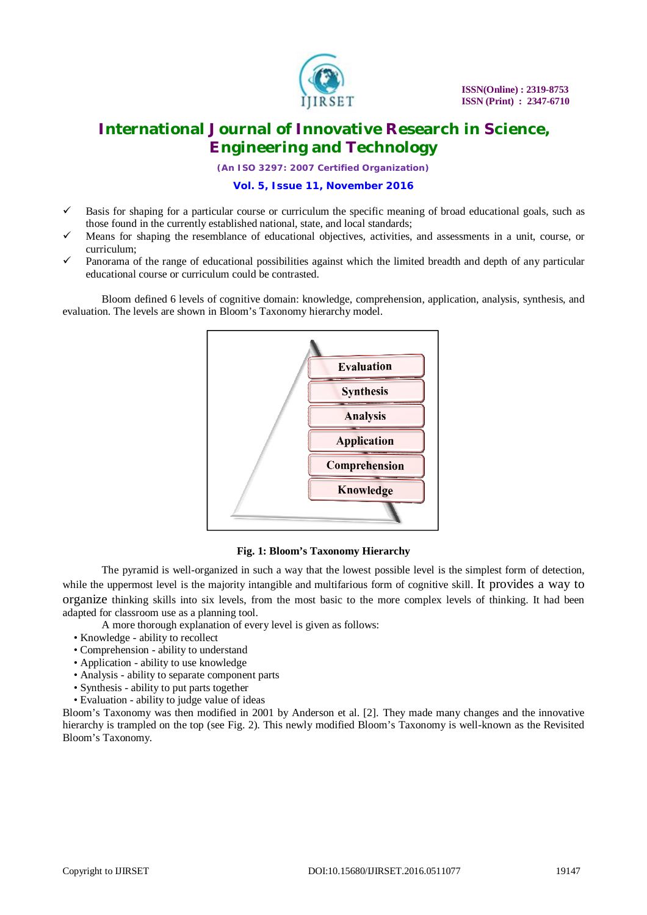

*(An ISO 3297: 2007 Certified Organization)*

## **Vol. 5, Issue 11, November 2016**

- Basis for shaping for a particular course or curriculum the specific meaning of broad educational goals, such as those found in the currently established national, state, and local standards;
- Means for shaping the resemblance of educational objectives, activities, and assessments in a unit, course, or curriculum;
- Panorama of the range of educational possibilities against which the limited breadth and depth of any particular educational course or curriculum could be contrasted.

Bloom defined 6 levels of cognitive domain: knowledge, comprehension, application, analysis, synthesis, and evaluation. The levels are shown in Bloom's Taxonomy hierarchy model.



#### **Fig. 1: Bloom's Taxonomy Hierarchy**

The pyramid is well-organized in such a way that the lowest possible level is the simplest form of detection, while the uppermost level is the majority intangible and multifarious form of cognitive skill. It provides a way to organize thinking skills into six levels, from the most basic to the more complex levels of thinking. It had been adapted for classroom use as a planning tool.

A more thorough explanation of every level is given as follows:

- Knowledge ability to recollect
- Comprehension ability to understand
- Application ability to use knowledge
- Analysis ability to separate component parts
- Synthesis ability to put parts together
- Evaluation ability to judge value of ideas

Bloom's Taxonomy was then modified in 2001 by Anderson et al. [2]. They made many changes and the innovative hierarchy is trampled on the top (see Fig. 2). This newly modified Bloom's Taxonomy is well-known as the Revisited Bloom's Taxonomy.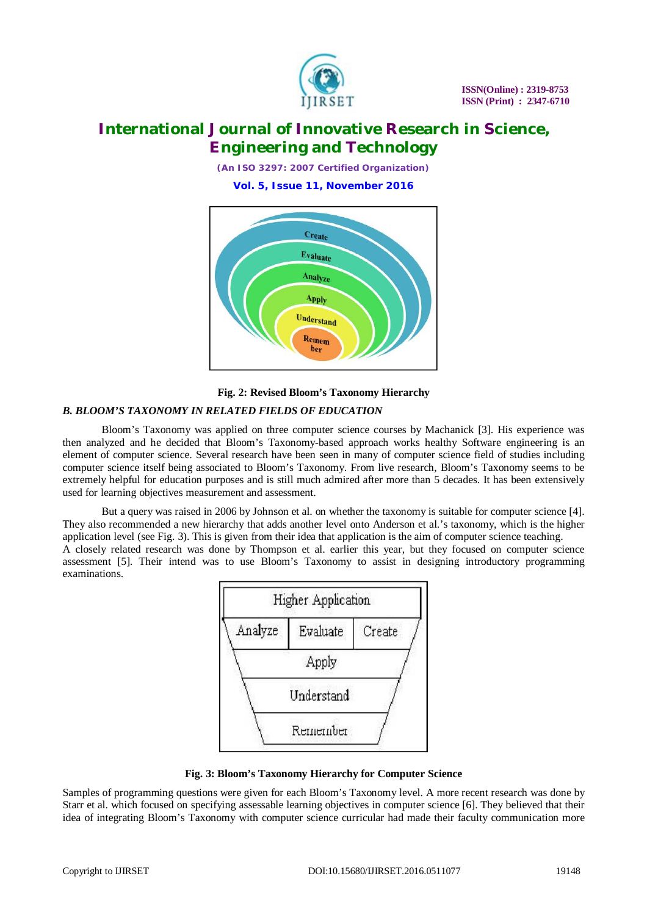

*(An ISO 3297: 2007 Certified Organization)*

**Vol. 5, Issue 11, November 2016**



## **Fig. 2: Revised Bloom's Taxonomy Hierarchy**

## *B. BLOOM'S TAXONOMY IN RELATED FIELDS OF EDUCATION*

Bloom's Taxonomy was applied on three computer science courses by Machanick [3]. His experience was then analyzed and he decided that Bloom's Taxonomy-based approach works healthy Software engineering is an element of computer science. Several research have been seen in many of computer science field of studies including computer science itself being associated to Bloom's Taxonomy. From live research, Bloom's Taxonomy seems to be extremely helpful for education purposes and is still much admired after more than 5 decades. It has been extensively used for learning objectives measurement and assessment.

But a query was raised in 2006 by Johnson et al. on whether the taxonomy is suitable for computer science [4]. They also recommended a new hierarchy that adds another level onto Anderson et al.'s taxonomy, which is the higher application level (see Fig. 3). This is given from their idea that application is the aim of computer science teaching. A closely related research was done by Thompson et al. earlier this year, but they focused on computer science assessment [5]. Their intend was to use Bloom's Taxonomy to assist in designing introductory programming examinations.



**Fig. 3: Bloom's Taxonomy Hierarchy for Computer Science**

Samples of programming questions were given for each Bloom's Taxonomy level. A more recent research was done by Starr et al. which focused on specifying assessable learning objectives in computer science [6]. They believed that their idea of integrating Bloom's Taxonomy with computer science curricular had made their faculty communication more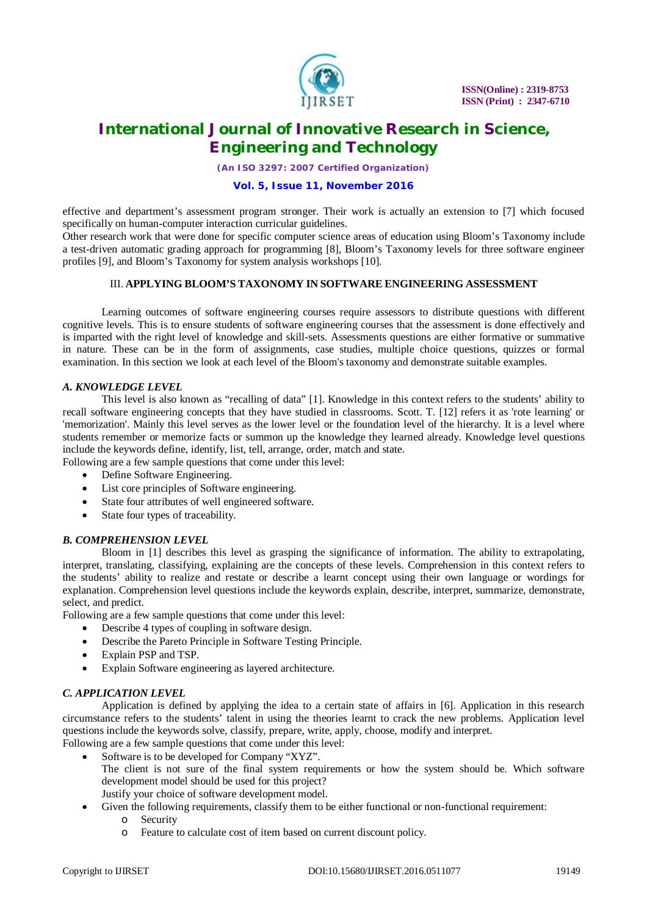

*(An ISO 3297: 2007 Certified Organization)*

## **Vol. 5, Issue 11, November 2016**

effective and department's assessment program stronger. Their work is actually an extension to [7] which focused specifically on human-computer interaction curricular guidelines.

Other research work that were done for specific computer science areas of education using Bloom's Taxonomy include a test-driven automatic grading approach for programming [8], Bloom's Taxonomy levels for three software engineer profiles [9], and Bloom's Taxonomy for system analysis workshops [10].

## III. **APPLYING BLOOM'S TAXONOMY IN SOFTWARE ENGINEERING ASSESSMENT**

Learning outcomes of software engineering courses require assessors to distribute questions with different cognitive levels. This is to ensure students of software engineering courses that the assessment is done effectively and is imparted with the right level of knowledge and skill-sets. Assessments questions are either formative or summative in nature. These can be in the form of assignments, case studies, multiple choice questions, quizzes or formal examination. In this section we look at each level of the Bloom's taxonomy and demonstrate suitable examples.

#### *A. KNOWLEDGE LEVEL*

This level is also known as "recalling of data" [1]. Knowledge in this context refers to the students' ability to recall software engineering concepts that they have studied in classrooms. Scott. T. [12] refers it as 'rote learning' or 'memorization'. Mainly this level serves as the lower level or the foundation level of the hierarchy. It is a level where students remember or memorize facts or summon up the knowledge they learned already. Knowledge level questions include the keywords define, identify, list, tell, arrange, order, match and state.

Following are a few sample questions that come under this level:

- Define Software Engineering.
- List core principles of Software engineering.
- State four attributes of well engineered software.
- State four types of traceability.

# *B. COMPREHENSION LEVEL*

Bloom in [1] describes this level as grasping the significance of information. The ability to extrapolating, interpret, translating, classifying, explaining are the concepts of these levels. Comprehension in this context refers to the students' ability to realize and restate or describe a learnt concept using their own language or wordings for explanation. Comprehension level questions include the keywords explain, describe, interpret, summarize, demonstrate, select, and predict.

Following are a few sample questions that come under this level:

- Describe 4 types of coupling in software design.
- Describe the Pareto Principle in Software Testing Principle.
- Explain PSP and TSP.
- Explain Software engineering as layered architecture.

# *C. APPLICATION LEVEL*

Application is defined by applying the idea to a certain state of affairs in [6]. Application in this research circumstance refers to the students' talent in using the theories learnt to crack the new problems. Application level questions include the keywords solve, classify, prepare, write, apply, choose, modify and interpret.

- Following are a few sample questions that come under this level:
	- Software is to be developed for Company "XYZ". The client is not sure of the final system requirements or how the system should be. Which software development model should be used for this project? Justify your choice of software development model.
	- Given the following requirements, classify them to be either functional or non-functional requirement:
		- o Security
		- o Feature to calculate cost of item based on current discount policy.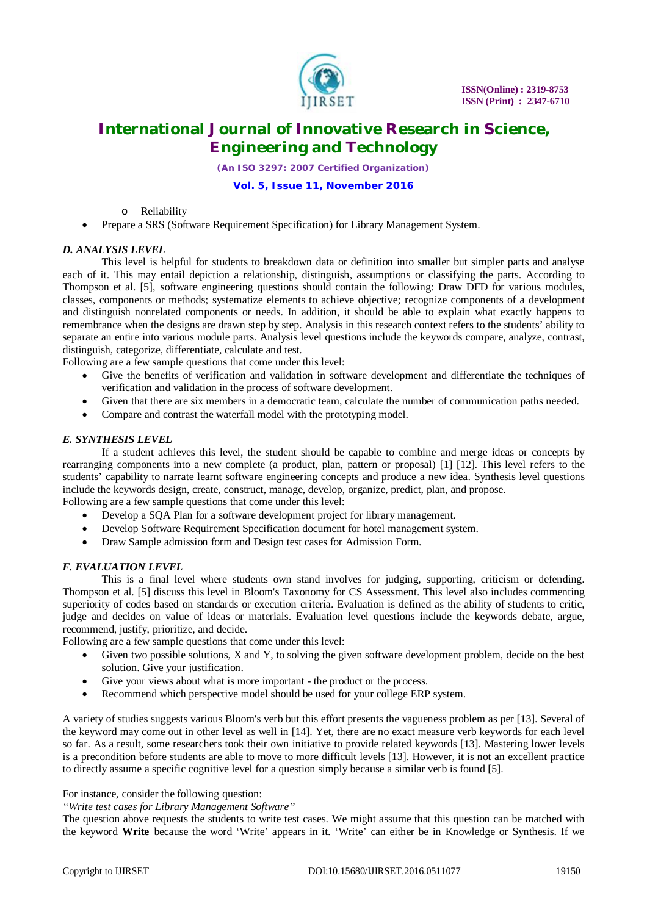

*(An ISO 3297: 2007 Certified Organization)*

## **Vol. 5, Issue 11, November 2016**

o Reliability

Prepare a SRS (Software Requirement Specification) for Library Management System.

#### *D. ANALYSIS LEVEL*

This level is helpful for students to breakdown data or definition into smaller but simpler parts and analyse each of it. This may entail depiction a relationship, distinguish, assumptions or classifying the parts. According to Thompson et al. [5], software engineering questions should contain the following: Draw DFD for various modules, classes, components or methods; systematize elements to achieve objective; recognize components of a development and distinguish nonrelated components or needs. In addition, it should be able to explain what exactly happens to remembrance when the designs are drawn step by step. Analysis in this research context refers to the students' ability to separate an entire into various module parts. Analysis level questions include the keywords compare, analyze, contrast, distinguish, categorize, differentiate, calculate and test.

Following are a few sample questions that come under this level:

- Give the benefits of verification and validation in software development and differentiate the techniques of verification and validation in the process of software development.
- Given that there are six members in a democratic team, calculate the number of communication paths needed.
- Compare and contrast the waterfall model with the prototyping model.

#### *E. SYNTHESIS LEVEL*

If a student achieves this level, the student should be capable to combine and merge ideas or concepts by rearranging components into a new complete (a product, plan, pattern or proposal) [1] [12]. This level refers to the students' capability to narrate learnt software engineering concepts and produce a new idea. Synthesis level questions include the keywords design, create, construct, manage, develop, organize, predict, plan, and propose.

Following are a few sample questions that come under this level:

- Develop a SQA Plan for a software development project for library management.
- Develop Software Requirement Specification document for hotel management system.
- Draw Sample admission form and Design test cases for Admission Form.

#### *F. EVALUATION LEVEL*

This is a final level where students own stand involves for judging, supporting, criticism or defending. Thompson et al. [5] discuss this level in Bloom's Taxonomy for CS Assessment. This level also includes commenting superiority of codes based on standards or execution criteria. Evaluation is defined as the ability of students to critic, judge and decides on value of ideas or materials. Evaluation level questions include the keywords debate, argue, recommend, justify, prioritize, and decide.

Following are a few sample questions that come under this level:

- Given two possible solutions, X and Y, to solving the given software development problem, decide on the best solution. Give your justification.
- Give your views about what is more important the product or the process.
- Recommend which perspective model should be used for your college ERP system.

A variety of studies suggests various Bloom's verb but this effort presents the vagueness problem as per [13]. Several of the keyword may come out in other level as well in [14]. Yet, there are no exact measure verb keywords for each level so far. As a result, some researchers took their own initiative to provide related keywords [13]. Mastering lower levels is a precondition before students are able to move to more difficult levels [13]. However, it is not an excellent practice to directly assume a specific cognitive level for a question simply because a similar verb is found [5].

## For instance, consider the following question:

*"Write test cases for Library Management Software"*

The question above requests the students to write test cases. We might assume that this question can be matched with the keyword **Write** because the word 'Write' appears in it. 'Write' can either be in Knowledge or Synthesis. If we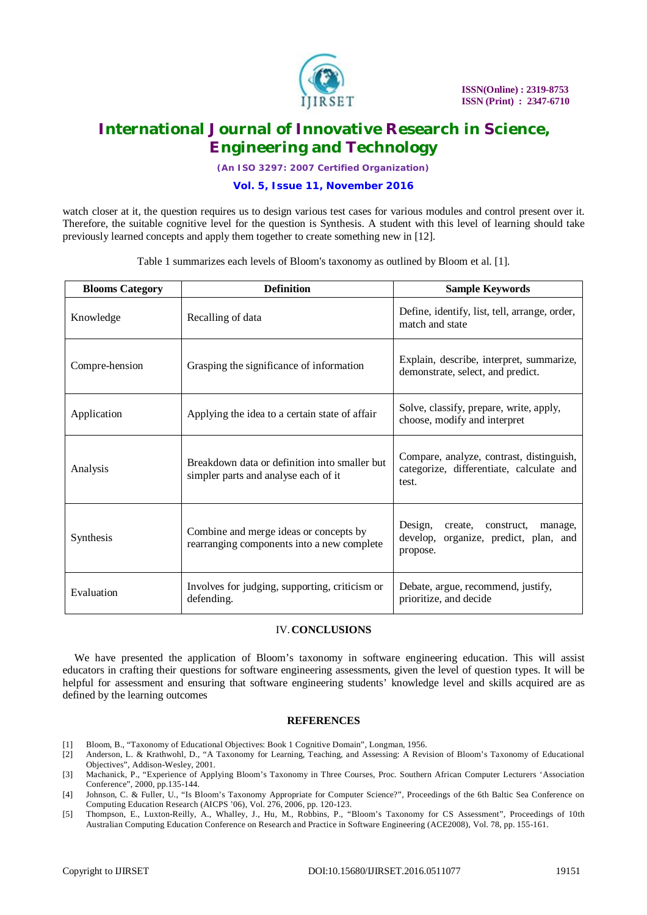

*(An ISO 3297: 2007 Certified Organization)*

#### **Vol. 5, Issue 11, November 2016**

watch closer at it, the question requires us to design various test cases for various modules and control present over it. Therefore, the suitable cognitive level for the question is Synthesis. A student with this level of learning should take previously learned concepts and apply them together to create something new in [12].

Table 1 summarizes each levels of Bloom's taxonomy as outlined by Bloom et al. [1].

| <b>Blooms Category</b> | <b>Definition</b>                                                                     | <b>Sample Keywords</b>                                                                              |
|------------------------|---------------------------------------------------------------------------------------|-----------------------------------------------------------------------------------------------------|
| Knowledge              | Recalling of data                                                                     | Define, identify, list, tell, arrange, order,<br>match and state                                    |
| Compre-hension         | Grasping the significance of information                                              | Explain, describe, interpret, summarize,<br>demonstrate, select, and predict.                       |
| Application            | Applying the idea to a certain state of affair                                        | Solve, classify, prepare, write, apply,<br>choose, modify and interpret                             |
| Analysis               | Breakdown data or definition into smaller but<br>simpler parts and analyse each of it | Compare, analyze, contrast, distinguish,<br>categorize, differentiate, calculate and<br>test.       |
| Synthesis              | Combine and merge ideas or concepts by<br>rearranging components into a new complete  | Design,<br>create,<br>construct,<br>manage,<br>develop,<br>organize, predict, plan, and<br>propose. |
| Evaluation             | Involves for judging, supporting, criticism or<br>defending.                          | Debate, argue, recommend, justify,<br>prioritize, and decide                                        |

#### IV.**CONCLUSIONS**

We have presented the application of Bloom's taxonomy in software engineering education. This will assist educators in crafting their questions for software engineering assessments, given the level of question types. It will be helpful for assessment and ensuring that software engineering students' knowledge level and skills acquired are as defined by the learning outcomes

#### **REFERENCES**

- [1] Bloom, B., "Taxonomy of Educational Objectives: Book 1 Cognitive Domain", Longman, 1956.
- [2] Anderson, L. & Krathwohl, D., "A Taxonomy for Learning, Teaching, and Assessing: A Revision of Bloom's Taxonomy of Educational Objectives", Addison-Wesley, 2001.
- [3] Machanick, P., "Experience of Applying Bloom's Taxonomy in Three Courses, Proc. Southern African Computer Lecturers 'Association Conference", 2000, pp.135-144.
- [4] Johnson, C. & Fuller, U., "Is Bloom's Taxonomy Appropriate for Computer Science?", Proceedings of the 6th Baltic Sea Conference on Computing Education Research (AICPS '06), Vol. 276, 2006, pp. 120-123.
- [5] Thompson, E., Luxton-Reilly, A., Whalley, J., Hu, M., Robbins, P., "Bloom's Taxonomy for CS Assessment", Proceedings of 10th Australian Computing Education Conference on Research and Practice in Software Engineering (ACE2008), Vol. 78, pp. 155-161.